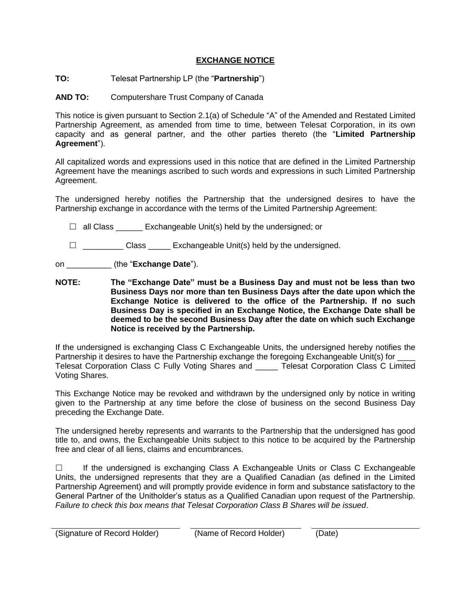## **EXCHANGE NOTICE**

## **TO:** Telesat Partnership LP (the "**Partnership**")

**AND TO:** Computershare Trust Company of Canada

This notice is given pursuant to Section 2.1(a) of Schedule "A" of the Amended and Restated Limited Partnership Agreement, as amended from time to time, between Telesat Corporation, in its own capacity and as general partner, and the other parties thereto (the "**Limited Partnership Agreement**").

All capitalized words and expressions used in this notice that are defined in the Limited Partnership Agreement have the meanings ascribed to such words and expressions in such Limited Partnership Agreement.

The undersigned hereby notifies the Partnership that the undersigned desires to have the Partnership exchange in accordance with the terms of the Limited Partnership Agreement:

 $\Box$  all Class Exchangeable Unit(s) held by the undersigned; or

 $\Box$  Class Exchangeable Unit(s) held by the undersigned.

on \_\_\_\_\_\_\_\_\_\_ (the "**Exchange Date**").

**NOTE: The "Exchange Date" must be a Business Day and must not be less than two Business Days nor more than ten Business Days after the date upon which the Exchange Notice is delivered to the office of the Partnership. If no such Business Day is specified in an Exchange Notice, the Exchange Date shall be deemed to be the second Business Day after the date on which such Exchange Notice is received by the Partnership.**

If the undersigned is exchanging Class C Exchangeable Units, the undersigned hereby notifies the Partnership it desires to have the Partnership exchange the foregoing Exchangeable Unit(s) for Telesat Corporation Class C Fully Voting Shares and \_\_\_\_\_ Telesat Corporation Class C Limited Voting Shares.

This Exchange Notice may be revoked and withdrawn by the undersigned only by notice in writing given to the Partnership at any time before the close of business on the second Business Day preceding the Exchange Date.

The undersigned hereby represents and warrants to the Partnership that the undersigned has good title to, and owns, the Exchangeable Units subject to this notice to be acquired by the Partnership free and clear of all liens, claims and encumbrances.

 $\Box$  If the undersigned is exchanging Class A Exchangeable Units or Class C Exchangeable Units, the undersigned represents that they are a Qualified Canadian (as defined in the Limited Partnership Agreement) and will promptly provide evidence in form and substance satisfactory to the General Partner of the Unitholder's status as a Qualified Canadian upon request of the Partnership. *Failure to check this box means that Telesat Corporation Class B Shares will be issued*.